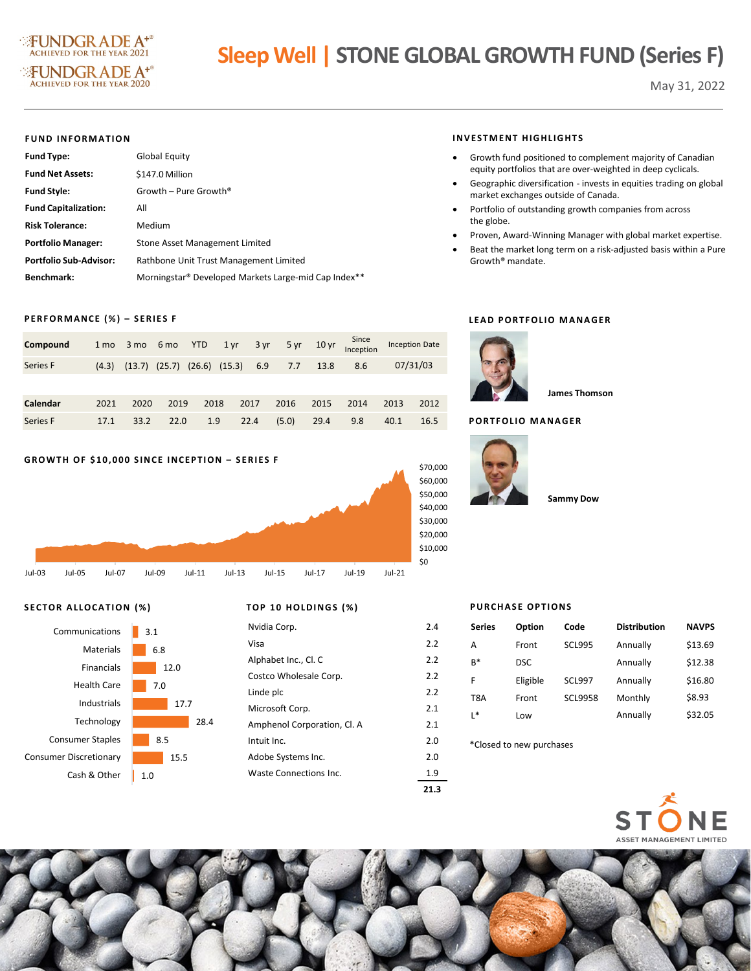

# **Sleep Well | STONE GLOBAL GROWTH FUND (Series F)**

May 31, 2022

#### **FUND INFORMATION**

| <b>Fund Type:</b>             | Global Equity                                        |
|-------------------------------|------------------------------------------------------|
| <b>Fund Net Assets:</b>       | \$147.0 Million                                      |
| <b>Fund Style:</b>            | Growth – Pure Growth <sup>®</sup>                    |
| <b>Fund Capitalization:</b>   | All                                                  |
| <b>Risk Tolerance:</b>        | Medium                                               |
| <b>Portfolio Manager:</b>     | Stone Asset Management Limited                       |
| <b>Portfolio Sub-Advisor:</b> | Rathbone Unit Trust Management Limited               |
| <b>Benchmark:</b>             | Morningstar® Developed Markets Large-mid Cap Index** |

## **PERFORMANCE (%) – SERIES F**

| Compound | 1 <sub>mo</sub> |                                     | 3 mo 6 mo YTD |      | $1 \,\mathrm{yr}$ | $3 \, yr$ |       |      | $5 \text{ yr}$ 10 yr $\frac{\text{Since}}{\text{Inception}}$ | <b>Inception Date</b> |          |
|----------|-----------------|-------------------------------------|---------------|------|-------------------|-----------|-------|------|--------------------------------------------------------------|-----------------------|----------|
| Series F | (4.3)           | $(13.7)$ $(25.7)$ $(26.6)$ $(15.3)$ |               |      |                   | 6.9       | 7.7   | 13.8 | 8.6                                                          |                       | 07/31/03 |
|          |                 |                                     |               |      |                   |           |       |      |                                                              |                       |          |
| Calendar | 2021            | 2020                                | 2019          | 2018 |                   | 2017      | 2016  | 2015 | 2014                                                         | 2013                  | 2012     |
| Series F | 17.1            | 33.2                                | 22.0          | 1.9  |                   | 22.4      | (5.0) | 29.4 | 9.8                                                          | 40.1                  | 16.5     |

### **GROWTH OF \$10,000 SINCE INCEPTION – SERIES F**



# **SECTOR ALLOCATION (%) TOP 10 HOLDINGS (%)**



| <i>ו 1</i> 0 בטוווע בעווד שני 10 ל |     |
|------------------------------------|-----|
| Nvidia Corp.                       | 2.4 |
| Visa                               | 2.2 |
| Alphabet Inc., Cl. C               | 2.2 |
| Costco Wholesale Corp.             | 2.2 |
| Linde plc                          | 2.2 |
| Microsoft Corp.                    | 2.1 |
| Amphenol Corporation, Cl. A        | 2.1 |
| Intuit Inc.                        | 2.0 |
| Adobe Systems Inc.                 | 2.0 |
| Waste Connections Inc.             | 1.9 |
|                                    |     |

#### **INVESTMENT HIGHLIGHTS**

- Growth fund positioned to complement majority of Canadian equity portfolios that are over-weighted in deep cyclicals.
- Geographic diversification invests in equities trading on global market exchanges outside of Canada.
- Portfolio of outstanding growth companies from across the globe.
- Proven, Award-Winning Manager with global market expertise.
- Beat the market long term on a risk-adjusted basis within a Pure Growth® mandate.

#### **LEAD PORTFOLIO MANAGER**



**James Thomson**

# **PORTFOLIO MANAGER**



```
Sammy Dow
```
# **PURCHASE OPTIONS**

| Communications     | 3.1  | Nvidia Corp.                | 2.4 | <b>Series</b>            | Option                    | Code           | <b>Distribution</b> | <b>NAVPS</b> |
|--------------------|------|-----------------------------|-----|--------------------------|---------------------------|----------------|---------------------|--------------|
| Materials          | 6.8  | Visa                        | 2.2 | A                        | Front                     | <b>SCL995</b>  | Annually            | \$13.69      |
| Financials         | 12.0 | Alphabet Inc., Cl. C        | 2.2 | $B^*$                    | <b>DSC</b>                |                | Annually            | \$12.38      |
|                    |      | Costco Wholesale Corp.      | 2.2 |                          | Eligible<br><b>SCL997</b> |                | Annually            | \$16.80      |
| <b>Health Care</b> | 7.0  | Linde plc                   | 2.2 | T <sub>8</sub> A         | Front                     | <b>SCL9958</b> | Monthly             | \$8.93       |
| Industrials        | 17.7 | Microsoft Corp.             | 2.1 | L*                       | Low                       |                | Annually            | \$32.05      |
| Technology         | 28.4 | Amphenol Corporation, Cl. A | 2.1 |                          |                           |                |                     |              |
| Consumer Staples   | 8.5  | Intuit Inc.                 | 2.0 | *Closed to new purchases |                           |                |                     |              |
| mer Discretionary  | 15.5 | Adobe Systems Inc.          | 2.0 |                          |                           |                |                     |              |





**21.3**